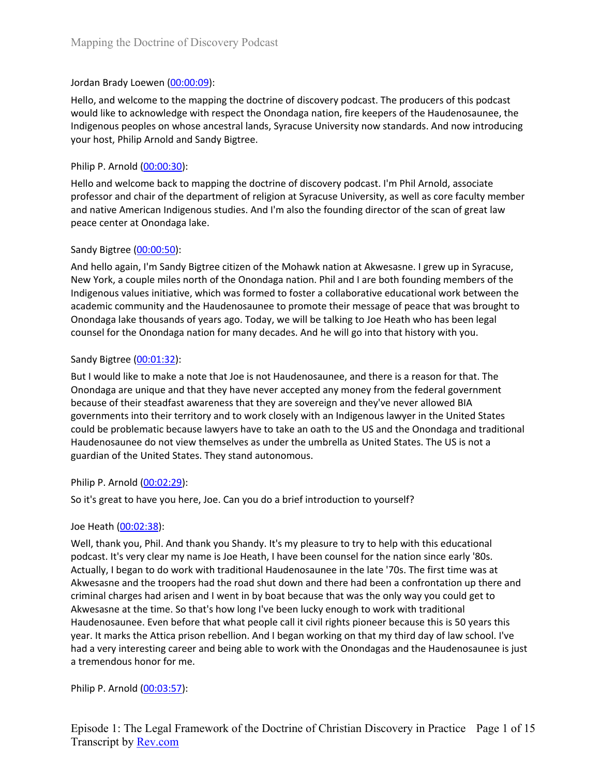### Jordan Brady Loewen (00:00:09):

Hello, and welcome to the mapping the doctrine of discovery podcast. The producers of this podcast would like to acknowledge with respect the Onondaga nation, fire keepers of the Haudenosaunee, the Indigenous peoples on whose ancestral lands, Syracuse University now standards. And now introducing your host, Philip Arnold and Sandy Bigtree.

### Philip P. Arnold (00:00:30):

Hello and welcome back to mapping the doctrine of discovery podcast. I'm Phil Arnold, associate professor and chair of the department of religion at Syracuse University, as well as core faculty member and native American Indigenous studies. And I'm also the founding director of the scan of great law peace center at Onondaga lake.

### Sandy Bigtree (00:00:50):

And hello again, I'm Sandy Bigtree citizen of the Mohawk nation at Akwesasne. I grew up in Syracuse, New York, a couple miles north of the Onondaga nation. Phil and I are both founding members of the Indigenous values initiative, which was formed to foster a collaborative educational work between the academic community and the Haudenosaunee to promote their message of peace that was brought to Onondaga lake thousands of years ago. Today, we will be talking to Joe Heath who has been legal counsel for the Onondaga nation for many decades. And he will go into that history with you.

### Sandy Bigtree (00:01:32):

But I would like to make a note that Joe is not Haudenosaunee, and there is a reason for that. The Onondaga are unique and that they have never accepted any money from the federal government because of their steadfast awareness that they are sovereign and they've never allowed BIA governments into their territory and to work closely with an Indigenous lawyer in the United States could be problematic because lawyers have to take an oath to the US and the Onondaga and traditional Haudenosaunee do not view themselves as under the umbrella as United States. The US is not a guardian of the United States. They stand autonomous.

## Philip P. Arnold (00:02:29):

So it's great to have you here, Joe. Can you do a brief introduction to yourself?

### Joe Heath (00:02:38):

Well, thank you, Phil. And thank you Shandy. It's my pleasure to try to help with this educational podcast. It's very clear my name is Joe Heath, I have been counsel for the nation since early '80s. Actually, I began to do work with traditional Haudenosaunee in the late '70s. The first time was at Akwesasne and the troopers had the road shut down and there had been a confrontation up there and criminal charges had arisen and I went in by boat because that was the only way you could get to Akwesasne at the time. So that's how long I've been lucky enough to work with traditional Haudenosaunee. Even before that what people call it civil rights pioneer because this is 50 years this year. It marks the Attica prison rebellion. And I began working on that my third day of law school. I've had a very interesting career and being able to work with the Onondagas and the Haudenosaunee is just a tremendous honor for me.

Philip P. Arnold (00:03:57):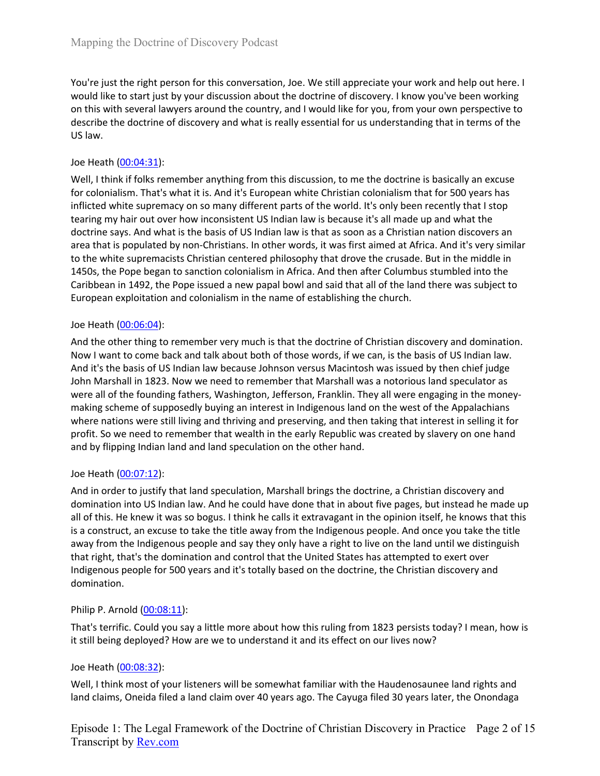You're just the right person for this conversation, Joe. We still appreciate your work and help out here. I would like to start just by your discussion about the doctrine of discovery. I know you've been working on this with several lawyers around the country, and I would like for you, from your own perspective to describe the doctrine of discovery and what is really essential for us understanding that in terms of the US law.

### Joe Heath (00:04:31):

Well, I think if folks remember anything from this discussion, to me the doctrine is basically an excuse for colonialism. That's what it is. And it's European white Christian colonialism that for 500 years has inflicted white supremacy on so many different parts of the world. It's only been recently that I stop tearing my hair out over how inconsistent US Indian law is because it's all made up and what the doctrine says. And what is the basis of US Indian law is that as soon as a Christian nation discovers an area that is populated by non-Christians. In other words, it was first aimed at Africa. And it's very similar to the white supremacists Christian centered philosophy that drove the crusade. But in the middle in 1450s, the Pope began to sanction colonialism in Africa. And then after Columbus stumbled into the Caribbean in 1492, the Pope issued a new papal bowl and said that all of the land there was subject to European exploitation and colonialism in the name of establishing the church.

### Joe Heath (00:06:04):

And the other thing to remember very much is that the doctrine of Christian discovery and domination. Now I want to come back and talk about both of those words, if we can, is the basis of US Indian law. And it's the basis of US Indian law because Johnson versus Macintosh was issued by then chief judge John Marshall in 1823. Now we need to remember that Marshall was a notorious land speculator as were all of the founding fathers, Washington, Jefferson, Franklin. They all were engaging in the moneymaking scheme of supposedly buying an interest in Indigenous land on the west of the Appalachians where nations were still living and thriving and preserving, and then taking that interest in selling it for profit. So we need to remember that wealth in the early Republic was created by slavery on one hand and by flipping Indian land and land speculation on the other hand.

### Joe Heath (00:07:12):

And in order to justify that land speculation, Marshall brings the doctrine, a Christian discovery and domination into US Indian law. And he could have done that in about five pages, but instead he made up all of this. He knew it was so bogus. I think he calls it extravagant in the opinion itself, he knows that this is a construct, an excuse to take the title away from the Indigenous people. And once you take the title away from the Indigenous people and say they only have a right to live on the land until we distinguish that right, that's the domination and control that the United States has attempted to exert over Indigenous people for 500 years and it's totally based on the doctrine, the Christian discovery and domination.

### Philip P. Arnold (00:08:11):

That's terrific. Could you say a little more about how this ruling from 1823 persists today? I mean, how is it still being deployed? How are we to understand it and its effect on our lives now?

### Joe Heath (00:08:32):

Well, I think most of your listeners will be somewhat familiar with the Haudenosaunee land rights and land claims, Oneida filed a land claim over 40 years ago. The Cayuga filed 30 years later, the Onondaga

Episode 1: The Legal Framework of the Doctrine of Christian Discovery in Practice Page 2 of 15 Transcript by Rev.com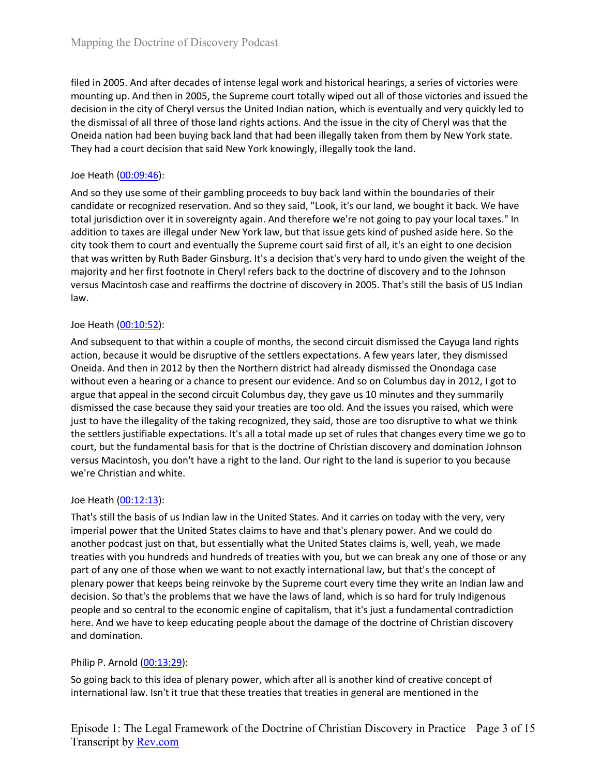filed in 2005. And after decades of intense legal work and historical hearings, a series of victories were mounting up. And then in 2005, the Supreme court totally wiped out all of those victories and issued the decision in the city of Cheryl versus the United Indian nation, which is eventually and very quickly led to the dismissal of all three of those land rights actions. And the issue in the city of Cheryl was that the Oneida nation had been buying back land that had been illegally taken from them by New York state. They had a court decision that said New York knowingly, illegally took the land.

### Joe Heath (00:09:46):

And so they use some of their gambling proceeds to buy back land within the boundaries of their candidate or recognized reservation. And so they said, "Look, it's our land, we bought it back. We have total jurisdiction over it in sovereignty again. And therefore we're not going to pay your local taxes." In addition to taxes are illegal under New York law, but that issue gets kind of pushed aside here. So the city took them to court and eventually the Supreme court said first of all, it's an eight to one decision that was written by Ruth Bader Ginsburg. It's a decision that's very hard to undo given the weight of the majority and her first footnote in Cheryl refers back to the doctrine of discovery and to the Johnson versus Macintosh case and reaffirms the doctrine of discovery in 2005. That's still the basis of US Indian law.

### Joe Heath (00:10:52):

And subsequent to that within a couple of months, the second circuit dismissed the Cayuga land rights action, because it would be disruptive of the settlers expectations. A few years later, they dismissed Oneida. And then in 2012 by then the Northern district had already dismissed the Onondaga case without even a hearing or a chance to present our evidence. And so on Columbus day in 2012, I got to argue that appeal in the second circuit Columbus day, they gave us 10 minutes and they summarily dismissed the case because they said your treaties are too old. And the issues you raised, which were just to have the illegality of the taking recognized, they said, those are too disruptive to what we think the settlers justifiable expectations. It's all a total made up set of rules that changes every time we go to court, but the fundamental basis for that is the doctrine of Christian discovery and domination Johnson versus Macintosh, you don't have a right to the land. Our right to the land is superior to you because we're Christian and white.

### Joe Heath (00:12:13):

That's still the basis of us Indian law in the United States. And it carries on today with the very, very imperial power that the United States claims to have and that's plenary power. And we could do another podcast just on that, but essentially what the United States claims is, well, yeah, we made treaties with you hundreds and hundreds of treaties with you, but we can break any one of those or any part of any one of those when we want to not exactly international law, but that's the concept of plenary power that keeps being reinvoke by the Supreme court every time they write an Indian law and decision. So that's the problems that we have the laws of land, which is so hard for truly Indigenous people and so central to the economic engine of capitalism, that it's just a fundamental contradiction here. And we have to keep educating people about the damage of the doctrine of Christian discovery and domination.

## Philip P. Arnold (00:13:29):

So going back to this idea of plenary power, which after all is another kind of creative concept of international law. Isn't it true that these treaties that treaties in general are mentioned in the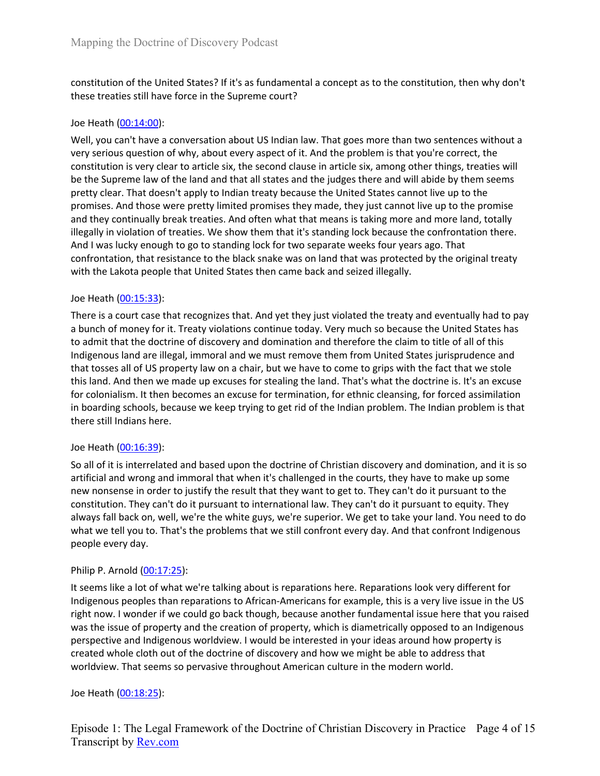constitution of the United States? If it's as fundamental a concept as to the constitution, then why don't these treaties still have force in the Supreme court?

### Joe Heath (00:14:00):

Well, you can't have a conversation about US Indian law. That goes more than two sentences without a very serious question of why, about every aspect of it. And the problem is that you're correct, the constitution is very clear to article six, the second clause in article six, among other things, treaties will be the Supreme law of the land and that all states and the judges there and will abide by them seems pretty clear. That doesn't apply to Indian treaty because the United States cannot live up to the promises. And those were pretty limited promises they made, they just cannot live up to the promise and they continually break treaties. And often what that means is taking more and more land, totally illegally in violation of treaties. We show them that it's standing lock because the confrontation there. And I was lucky enough to go to standing lock for two separate weeks four years ago. That confrontation, that resistance to the black snake was on land that was protected by the original treaty with the Lakota people that United States then came back and seized illegally.

#### Joe Heath (00:15:33):

There is a court case that recognizes that. And yet they just violated the treaty and eventually had to pay a bunch of money for it. Treaty violations continue today. Very much so because the United States has to admit that the doctrine of discovery and domination and therefore the claim to title of all of this Indigenous land are illegal, immoral and we must remove them from United States jurisprudence and that tosses all of US property law on a chair, but we have to come to grips with the fact that we stole this land. And then we made up excuses for stealing the land. That's what the doctrine is. It's an excuse for colonialism. It then becomes an excuse for termination, for ethnic cleansing, for forced assimilation in boarding schools, because we keep trying to get rid of the Indian problem. The Indian problem is that there still Indians here.

#### Joe Heath (00:16:39):

So all of it is interrelated and based upon the doctrine of Christian discovery and domination, and it is so artificial and wrong and immoral that when it's challenged in the courts, they have to make up some new nonsense in order to justify the result that they want to get to. They can't do it pursuant to the constitution. They can't do it pursuant to international law. They can't do it pursuant to equity. They always fall back on, well, we're the white guys, we're superior. We get to take your land. You need to do what we tell you to. That's the problems that we still confront every day. And that confront Indigenous people every day.

### Philip P. Arnold (00:17:25):

It seems like a lot of what we're talking about is reparations here. Reparations look very different for Indigenous peoples than reparations to African-Americans for example, this is a very live issue in the US right now. I wonder if we could go back though, because another fundamental issue here that you raised was the issue of property and the creation of property, which is diametrically opposed to an Indigenous perspective and Indigenous worldview. I would be interested in your ideas around how property is created whole cloth out of the doctrine of discovery and how we might be able to address that worldview. That seems so pervasive throughout American culture in the modern world.

#### Joe Heath (00:18:25):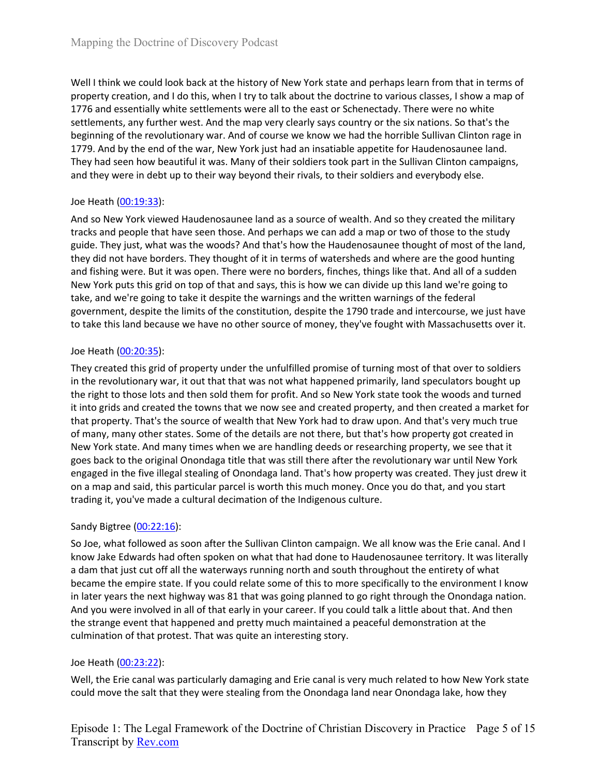Well I think we could look back at the history of New York state and perhaps learn from that in terms of property creation, and I do this, when I try to talk about the doctrine to various classes, I show a map of 1776 and essentially white settlements were all to the east or Schenectady. There were no white settlements, any further west. And the map very clearly says country or the six nations. So that's the beginning of the revolutionary war. And of course we know we had the horrible Sullivan Clinton rage in 1779. And by the end of the war, New York just had an insatiable appetite for Haudenosaunee land. They had seen how beautiful it was. Many of their soldiers took part in the Sullivan Clinton campaigns, and they were in debt up to their way beyond their rivals, to their soldiers and everybody else.

# Joe Heath (00:19:33):

And so New York viewed Haudenosaunee land as a source of wealth. And so they created the military tracks and people that have seen those. And perhaps we can add a map or two of those to the study guide. They just, what was the woods? And that's how the Haudenosaunee thought of most of the land, they did not have borders. They thought of it in terms of watersheds and where are the good hunting and fishing were. But it was open. There were no borders, finches, things like that. And all of a sudden New York puts this grid on top of that and says, this is how we can divide up this land we're going to take, and we're going to take it despite the warnings and the written warnings of the federal government, despite the limits of the constitution, despite the 1790 trade and intercourse, we just have to take this land because we have no other source of money, they've fought with Massachusetts over it.

## Joe Heath (00:20:35):

They created this grid of property under the unfulfilled promise of turning most of that over to soldiers in the revolutionary war, it out that that was not what happened primarily, land speculators bought up the right to those lots and then sold them for profit. And so New York state took the woods and turned it into grids and created the towns that we now see and created property, and then created a market for that property. That's the source of wealth that New York had to draw upon. And that's very much true of many, many other states. Some of the details are not there, but that's how property got created in New York state. And many times when we are handling deeds or researching property, we see that it goes back to the original Onondaga title that was still there after the revolutionary war until New York engaged in the five illegal stealing of Onondaga land. That's how property was created. They just drew it on a map and said, this particular parcel is worth this much money. Once you do that, and you start trading it, you've made a cultural decimation of the Indigenous culture.

## Sandy Bigtree (00:22:16):

So Joe, what followed as soon after the Sullivan Clinton campaign. We all know was the Erie canal. And I know Jake Edwards had often spoken on what that had done to Haudenosaunee territory. It was literally a dam that just cut off all the waterways running north and south throughout the entirety of what became the empire state. If you could relate some of this to more specifically to the environment I know in later years the next highway was 81 that was going planned to go right through the Onondaga nation. And you were involved in all of that early in your career. If you could talk a little about that. And then the strange event that happened and pretty much maintained a peaceful demonstration at the culmination of that protest. That was quite an interesting story.

## Joe Heath (00:23:22):

Well, the Erie canal was particularly damaging and Erie canal is very much related to how New York state could move the salt that they were stealing from the Onondaga land near Onondaga lake, how they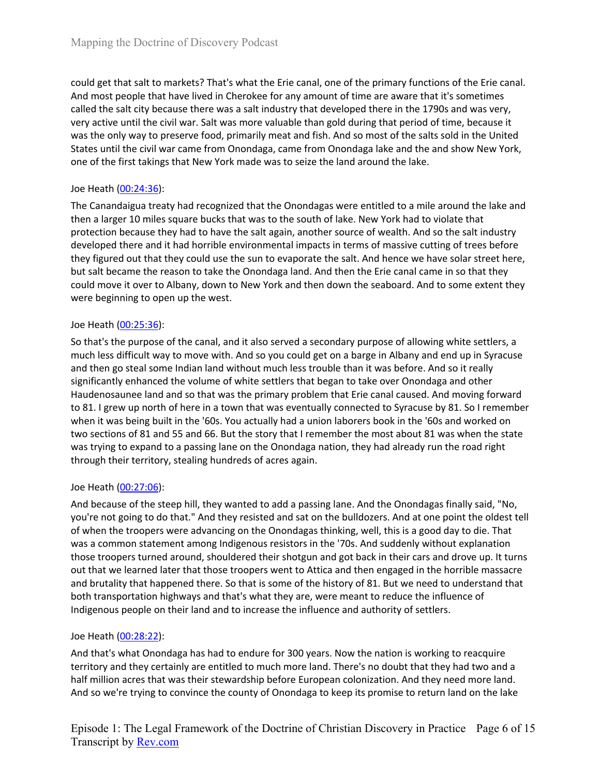could get that salt to markets? That's what the Erie canal, one of the primary functions of the Erie canal. And most people that have lived in Cherokee for any amount of time are aware that it's sometimes called the salt city because there was a salt industry that developed there in the 1790s and was very, very active until the civil war. Salt was more valuable than gold during that period of time, because it was the only way to preserve food, primarily meat and fish. And so most of the salts sold in the United States until the civil war came from Onondaga, came from Onondaga lake and the and show New York, one of the first takings that New York made was to seize the land around the lake.

## Joe Heath (00:24:36):

The Canandaigua treaty had recognized that the Onondagas were entitled to a mile around the lake and then a larger 10 miles square bucks that was to the south of lake. New York had to violate that protection because they had to have the salt again, another source of wealth. And so the salt industry developed there and it had horrible environmental impacts in terms of massive cutting of trees before they figured out that they could use the sun to evaporate the salt. And hence we have solar street here, but salt became the reason to take the Onondaga land. And then the Erie canal came in so that they could move it over to Albany, down to New York and then down the seaboard. And to some extent they were beginning to open up the west.

### Joe Heath (00:25:36):

So that's the purpose of the canal, and it also served a secondary purpose of allowing white settlers, a much less difficult way to move with. And so you could get on a barge in Albany and end up in Syracuse and then go steal some Indian land without much less trouble than it was before. And so it really significantly enhanced the volume of white settlers that began to take over Onondaga and other Haudenosaunee land and so that was the primary problem that Erie canal caused. And moving forward to 81. I grew up north of here in a town that was eventually connected to Syracuse by 81. So I remember when it was being built in the '60s. You actually had a union laborers book in the '60s and worked on two sections of 81 and 55 and 66. But the story that I remember the most about 81 was when the state was trying to expand to a passing lane on the Onondaga nation, they had already run the road right through their territory, stealing hundreds of acres again.

## Joe Heath (00:27:06):

And because of the steep hill, they wanted to add a passing lane. And the Onondagas finally said, "No, you're not going to do that." And they resisted and sat on the bulldozers. And at one point the oldest tell of when the troopers were advancing on the Onondagas thinking, well, this is a good day to die. That was a common statement among Indigenous resistors in the '70s. And suddenly without explanation those troopers turned around, shouldered their shotgun and got back in their cars and drove up. It turns out that we learned later that those troopers went to Attica and then engaged in the horrible massacre and brutality that happened there. So that is some of the history of 81. But we need to understand that both transportation highways and that's what they are, were meant to reduce the influence of Indigenous people on their land and to increase the influence and authority of settlers.

### Joe Heath (00:28:22):

And that's what Onondaga has had to endure for 300 years. Now the nation is working to reacquire territory and they certainly are entitled to much more land. There's no doubt that they had two and a half million acres that was their stewardship before European colonization. And they need more land. And so we're trying to convince the county of Onondaga to keep its promise to return land on the lake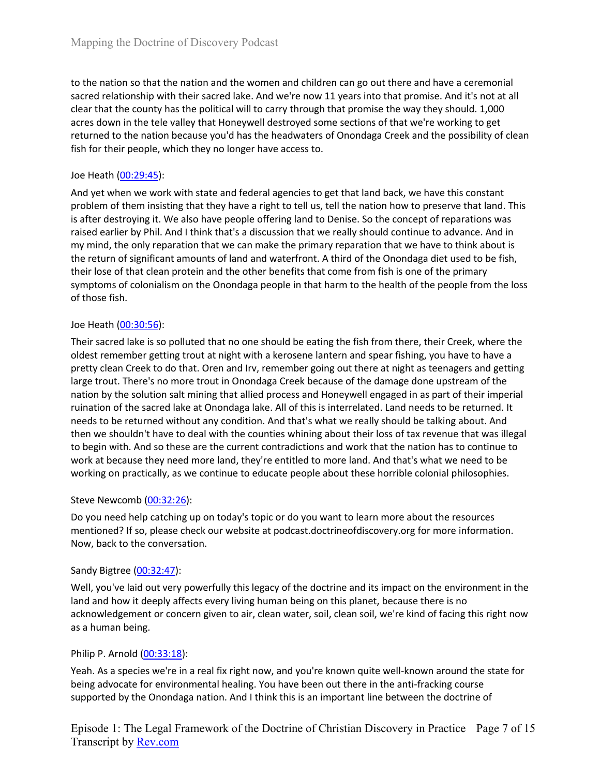to the nation so that the nation and the women and children can go out there and have a ceremonial sacred relationship with their sacred lake. And we're now 11 years into that promise. And it's not at all clear that the county has the political will to carry through that promise the way they should. 1,000 acres down in the tele valley that Honeywell destroyed some sections of that we're working to get returned to the nation because you'd has the headwaters of Onondaga Creek and the possibility of clean fish for their people, which they no longer have access to.

### Joe Heath (00:29:45):

And yet when we work with state and federal agencies to get that land back, we have this constant problem of them insisting that they have a right to tell us, tell the nation how to preserve that land. This is after destroying it. We also have people offering land to Denise. So the concept of reparations was raised earlier by Phil. And I think that's a discussion that we really should continue to advance. And in my mind, the only reparation that we can make the primary reparation that we have to think about is the return of significant amounts of land and waterfront. A third of the Onondaga diet used to be fish, their lose of that clean protein and the other benefits that come from fish is one of the primary symptoms of colonialism on the Onondaga people in that harm to the health of the people from the loss of those fish.

### Joe Heath (00:30:56):

Their sacred lake is so polluted that no one should be eating the fish from there, their Creek, where the oldest remember getting trout at night with a kerosene lantern and spear fishing, you have to have a pretty clean Creek to do that. Oren and Irv, remember going out there at night as teenagers and getting large trout. There's no more trout in Onondaga Creek because of the damage done upstream of the nation by the solution salt mining that allied process and Honeywell engaged in as part of their imperial ruination of the sacred lake at Onondaga lake. All of this is interrelated. Land needs to be returned. It needs to be returned without any condition. And that's what we really should be talking about. And then we shouldn't have to deal with the counties whining about their loss of tax revenue that was illegal to begin with. And so these are the current contradictions and work that the nation has to continue to work at because they need more land, they're entitled to more land. And that's what we need to be working on practically, as we continue to educate people about these horrible colonial philosophies.

### Steve Newcomb (00:32:26):

Do you need help catching up on today's topic or do you want to learn more about the resources mentioned? If so, please check our website at podcast.doctrineofdiscovery.org for more information. Now, back to the conversation.

## Sandy Bigtree (00:32:47):

Well, you've laid out very powerfully this legacy of the doctrine and its impact on the environment in the land and how it deeply affects every living human being on this planet, because there is no acknowledgement or concern given to air, clean water, soil, clean soil, we're kind of facing this right now as a human being.

## Philip P. Arnold (00:33:18):

Yeah. As a species we're in a real fix right now, and you're known quite well-known around the state for being advocate for environmental healing. You have been out there in the anti-fracking course supported by the Onondaga nation. And I think this is an important line between the doctrine of

Episode 1: The Legal Framework of the Doctrine of Christian Discovery in Practice Page 7 of 15 Transcript by Rev.com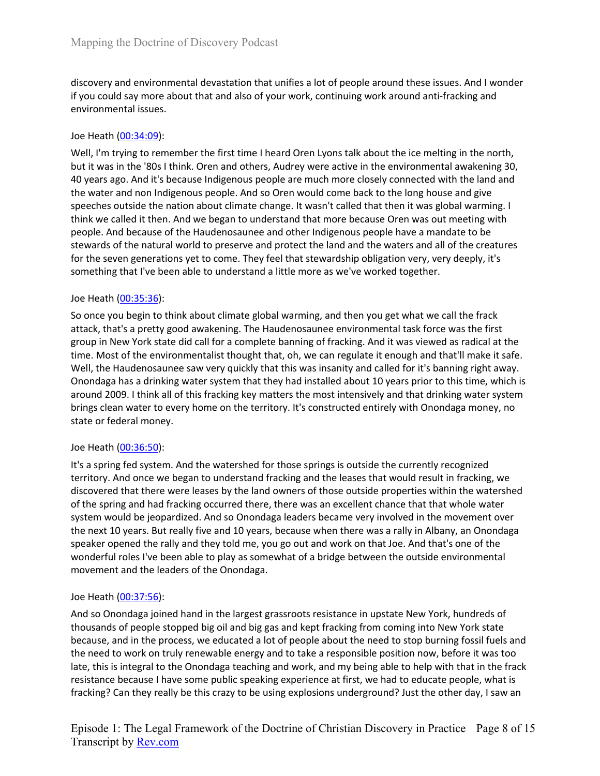discovery and environmental devastation that unifies a lot of people around these issues. And I wonder if you could say more about that and also of your work, continuing work around anti-fracking and environmental issues.

### Joe Heath (00:34:09):

Well, I'm trying to remember the first time I heard Oren Lyons talk about the ice melting in the north, but it was in the '80s I think. Oren and others, Audrey were active in the environmental awakening 30, 40 years ago. And it's because Indigenous people are much more closely connected with the land and the water and non Indigenous people. And so Oren would come back to the long house and give speeches outside the nation about climate change. It wasn't called that then it was global warming. I think we called it then. And we began to understand that more because Oren was out meeting with people. And because of the Haudenosaunee and other Indigenous people have a mandate to be stewards of the natural world to preserve and protect the land and the waters and all of the creatures for the seven generations yet to come. They feel that stewardship obligation very, very deeply, it's something that I've been able to understand a little more as we've worked together.

### Joe Heath (00:35:36):

So once you begin to think about climate global warming, and then you get what we call the frack attack, that's a pretty good awakening. The Haudenosaunee environmental task force was the first group in New York state did call for a complete banning of fracking. And it was viewed as radical at the time. Most of the environmentalist thought that, oh, we can regulate it enough and that'll make it safe. Well, the Haudenosaunee saw very quickly that this was insanity and called for it's banning right away. Onondaga has a drinking water system that they had installed about 10 years prior to this time, which is around 2009. I think all of this fracking key matters the most intensively and that drinking water system brings clean water to every home on the territory. It's constructed entirely with Onondaga money, no state or federal money.

### Joe Heath (00:36:50):

It's a spring fed system. And the watershed for those springs is outside the currently recognized territory. And once we began to understand fracking and the leases that would result in fracking, we discovered that there were leases by the land owners of those outside properties within the watershed of the spring and had fracking occurred there, there was an excellent chance that that whole water system would be jeopardized. And so Onondaga leaders became very involved in the movement over the next 10 years. But really five and 10 years, because when there was a rally in Albany, an Onondaga speaker opened the rally and they told me, you go out and work on that Joe. And that's one of the wonderful roles I've been able to play as somewhat of a bridge between the outside environmental movement and the leaders of the Onondaga.

### Joe Heath (00:37:56):

And so Onondaga joined hand in the largest grassroots resistance in upstate New York, hundreds of thousands of people stopped big oil and big gas and kept fracking from coming into New York state because, and in the process, we educated a lot of people about the need to stop burning fossil fuels and the need to work on truly renewable energy and to take a responsible position now, before it was too late, this is integral to the Onondaga teaching and work, and my being able to help with that in the frack resistance because I have some public speaking experience at first, we had to educate people, what is fracking? Can they really be this crazy to be using explosions underground? Just the other day, I saw an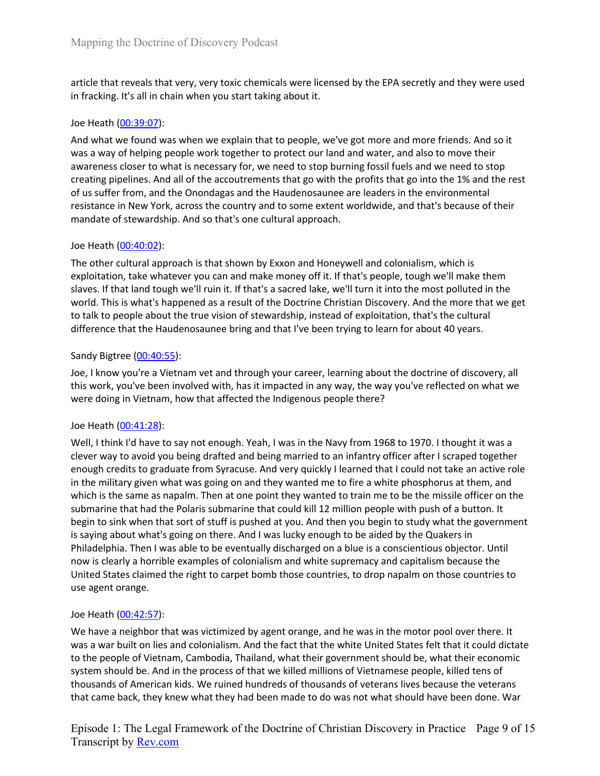article that reveals that very, very toxic chemicals were licensed by the EPA secretly and they were used in fracking. It's all in chain when you start taking about it.

### Joe Heath (00:39:07):

And what we found was when we explain that to people, we've got more and more friends. And so it was a way of helping people work together to protect our land and water, and also to move their awareness closer to what is necessary for, we need to stop burning fossil fuels and we need to stop creating pipelines. And all of the accoutrements that go with the profits that go into the 1% and the rest of us suffer from, and the Onondagas and the Haudenosaunee are leaders in the environmental resistance in New York, across the country and to some extent worldwide, and that's because of their mandate of stewardship. And so that's one cultural approach.

### Joe Heath (00:40:02):

The other cultural approach is that shown by Exxon and Honeywell and colonialism, which is exploitation, take whatever you can and make money off it. If that's people, tough we'll make them slaves. If that land tough we'll ruin it. If that's a sacred lake, we'll turn it into the most polluted in the world. This is what's happened as a result of the Doctrine Christian Discovery. And the more that we get to talk to people about the true vision of stewardship, instead of exploitation, that's the cultural difference that the Haudenosaunee bring and that I've been trying to learn for about 40 years.

### Sandy Bigtree (00:40:55):

Joe, I know you're a Vietnam vet and through your career, learning about the doctrine of discovery, all this work, you've been involved with, has it impacted in any way, the way you've reflected on what we were doing in Vietnam, how that affected the Indigenous people there?

### Joe Heath (00:41:28):

Well, I think I'd have to say not enough. Yeah, I was in the Navy from 1968 to 1970. I thought it was a clever way to avoid you being drafted and being married to an infantry officer after I scraped together enough credits to graduate from Syracuse. And very quickly I learned that I could not take an active role in the military given what was going on and they wanted me to fire a white phosphorus at them, and which is the same as napalm. Then at one point they wanted to train me to be the missile officer on the submarine that had the Polaris submarine that could kill 12 million people with push of a button. It begin to sink when that sort of stuff is pushed at you. And then you begin to study what the government is saying about what's going on there. And I was lucky enough to be aided by the Quakers in Philadelphia. Then I was able to be eventually discharged on a blue is a conscientious objector. Until now is clearly a horrible examples of colonialism and white supremacy and capitalism because the United States claimed the right to carpet bomb those countries, to drop napalm on those countries to use agent orange.

### Joe Heath (00:42:57):

We have a neighbor that was victimized by agent orange, and he was in the motor pool over there. It was a war built on lies and colonialism. And the fact that the white United States felt that it could dictate to the people of Vietnam, Cambodia, Thailand, what their government should be, what their economic system should be. And in the process of that we killed millions of Vietnamese people, killed tens of thousands of American kids. We ruined hundreds of thousands of veterans lives because the veterans that came back, they knew what they had been made to do was not what should have been done. War

Episode 1: The Legal Framework of the Doctrine of Christian Discovery in Practice Page 9 of 15 Transcript by Rev.com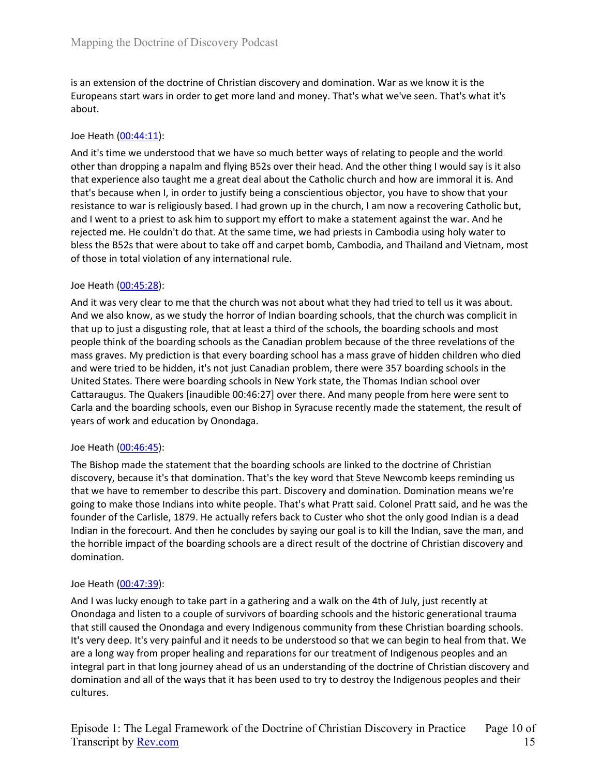is an extension of the doctrine of Christian discovery and domination. War as we know it is the Europeans start wars in order to get more land and money. That's what we've seen. That's what it's about.

### Joe Heath (00:44:11):

And it's time we understood that we have so much better ways of relating to people and the world other than dropping a napalm and flying B52s over their head. And the other thing I would say is it also that experience also taught me a great deal about the Catholic church and how are immoral it is. And that's because when I, in order to justify being a conscientious objector, you have to show that your resistance to war is religiously based. I had grown up in the church, I am now a recovering Catholic but, and I went to a priest to ask him to support my effort to make a statement against the war. And he rejected me. He couldn't do that. At the same time, we had priests in Cambodia using holy water to bless the B52s that were about to take off and carpet bomb, Cambodia, and Thailand and Vietnam, most of those in total violation of any international rule.

### Joe Heath (00:45:28):

And it was very clear to me that the church was not about what they had tried to tell us it was about. And we also know, as we study the horror of Indian boarding schools, that the church was complicit in that up to just a disgusting role, that at least a third of the schools, the boarding schools and most people think of the boarding schools as the Canadian problem because of the three revelations of the mass graves. My prediction is that every boarding school has a mass grave of hidden children who died and were tried to be hidden, it's not just Canadian problem, there were 357 boarding schools in the United States. There were boarding schools in New York state, the Thomas Indian school over Cattaraugus. The Quakers [inaudible 00:46:27] over there. And many people from here were sent to Carla and the boarding schools, even our Bishop in Syracuse recently made the statement, the result of years of work and education by Onondaga.

### Joe Heath (00:46:45):

The Bishop made the statement that the boarding schools are linked to the doctrine of Christian discovery, because it's that domination. That's the key word that Steve Newcomb keeps reminding us that we have to remember to describe this part. Discovery and domination. Domination means we're going to make those Indians into white people. That's what Pratt said. Colonel Pratt said, and he was the founder of the Carlisle, 1879. He actually refers back to Custer who shot the only good Indian is a dead Indian in the forecourt. And then he concludes by saying our goal is to kill the Indian, save the man, and the horrible impact of the boarding schools are a direct result of the doctrine of Christian discovery and domination.

### Joe Heath (00:47:39):

And I was lucky enough to take part in a gathering and a walk on the 4th of July, just recently at Onondaga and listen to a couple of survivors of boarding schools and the historic generational trauma that still caused the Onondaga and every Indigenous community from these Christian boarding schools. It's very deep. It's very painful and it needs to be understood so that we can begin to heal from that. We are a long way from proper healing and reparations for our treatment of Indigenous peoples and an integral part in that long journey ahead of us an understanding of the doctrine of Christian discovery and domination and all of the ways that it has been used to try to destroy the Indigenous peoples and their cultures.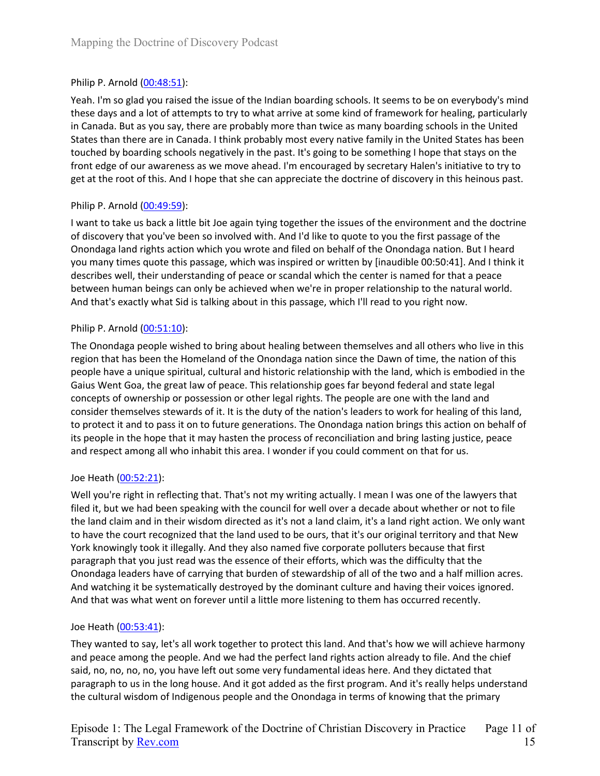# Philip P. Arnold (00:48:51):

Yeah. I'm so glad you raised the issue of the Indian boarding schools. It seems to be on everybody's mind these days and a lot of attempts to try to what arrive at some kind of framework for healing, particularly in Canada. But as you say, there are probably more than twice as many boarding schools in the United States than there are in Canada. I think probably most every native family in the United States has been touched by boarding schools negatively in the past. It's going to be something I hope that stays on the front edge of our awareness as we move ahead. I'm encouraged by secretary Halen's initiative to try to get at the root of this. And I hope that she can appreciate the doctrine of discovery in this heinous past.

## Philip P. Arnold (00:49:59):

I want to take us back a little bit Joe again tying together the issues of the environment and the doctrine of discovery that you've been so involved with. And I'd like to quote to you the first passage of the Onondaga land rights action which you wrote and filed on behalf of the Onondaga nation. But I heard you many times quote this passage, which was inspired or written by [inaudible 00:50:41]. And I think it describes well, their understanding of peace or scandal which the center is named for that a peace between human beings can only be achieved when we're in proper relationship to the natural world. And that's exactly what Sid is talking about in this passage, which I'll read to you right now.

## Philip P. Arnold (00:51:10):

The Onondaga people wished to bring about healing between themselves and all others who live in this region that has been the Homeland of the Onondaga nation since the Dawn of time, the nation of this people have a unique spiritual, cultural and historic relationship with the land, which is embodied in the Gaius Went Goa, the great law of peace. This relationship goes far beyond federal and state legal concepts of ownership or possession or other legal rights. The people are one with the land and consider themselves stewards of it. It is the duty of the nation's leaders to work for healing of this land, to protect it and to pass it on to future generations. The Onondaga nation brings this action on behalf of its people in the hope that it may hasten the process of reconciliation and bring lasting justice, peace and respect among all who inhabit this area. I wonder if you could comment on that for us.

## Joe Heath (00:52:21):

Well you're right in reflecting that. That's not my writing actually. I mean I was one of the lawyers that filed it, but we had been speaking with the council for well over a decade about whether or not to file the land claim and in their wisdom directed as it's not a land claim, it's a land right action. We only want to have the court recognized that the land used to be ours, that it's our original territory and that New York knowingly took it illegally. And they also named five corporate polluters because that first paragraph that you just read was the essence of their efforts, which was the difficulty that the Onondaga leaders have of carrying that burden of stewardship of all of the two and a half million acres. And watching it be systematically destroyed by the dominant culture and having their voices ignored. And that was what went on forever until a little more listening to them has occurred recently.

## Joe Heath (00:53:41):

They wanted to say, let's all work together to protect this land. And that's how we will achieve harmony and peace among the people. And we had the perfect land rights action already to file. And the chief said, no, no, no, no, you have left out some very fundamental ideas here. And they dictated that paragraph to us in the long house. And it got added as the first program. And it's really helps understand the cultural wisdom of Indigenous people and the Onondaga in terms of knowing that the primary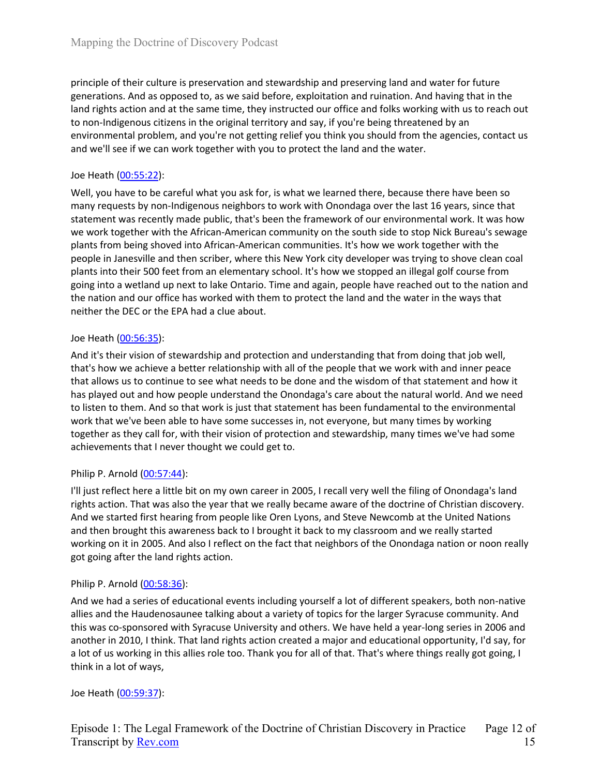principle of their culture is preservation and stewardship and preserving land and water for future generations. And as opposed to, as we said before, exploitation and ruination. And having that in the land rights action and at the same time, they instructed our office and folks working with us to reach out to non-Indigenous citizens in the original territory and say, if you're being threatened by an environmental problem, and you're not getting relief you think you should from the agencies, contact us and we'll see if we can work together with you to protect the land and the water.

# Joe Heath (00:55:22):

Well, you have to be careful what you ask for, is what we learned there, because there have been so many requests by non-Indigenous neighbors to work with Onondaga over the last 16 years, since that statement was recently made public, that's been the framework of our environmental work. It was how we work together with the African-American community on the south side to stop Nick Bureau's sewage plants from being shoved into African-American communities. It's how we work together with the people in Janesville and then scriber, where this New York city developer was trying to shove clean coal plants into their 500 feet from an elementary school. It's how we stopped an illegal golf course from going into a wetland up next to lake Ontario. Time and again, people have reached out to the nation and the nation and our office has worked with them to protect the land and the water in the ways that neither the DEC or the EPA had a clue about.

## Joe Heath (00:56:35):

And it's their vision of stewardship and protection and understanding that from doing that job well, that's how we achieve a better relationship with all of the people that we work with and inner peace that allows us to continue to see what needs to be done and the wisdom of that statement and how it has played out and how people understand the Onondaga's care about the natural world. And we need to listen to them. And so that work is just that statement has been fundamental to the environmental work that we've been able to have some successes in, not everyone, but many times by working together as they call for, with their vision of protection and stewardship, many times we've had some achievements that I never thought we could get to.

## Philip P. Arnold (00:57:44):

I'll just reflect here a little bit on my own career in 2005, I recall very well the filing of Onondaga's land rights action. That was also the year that we really became aware of the doctrine of Christian discovery. And we started first hearing from people like Oren Lyons, and Steve Newcomb at the United Nations and then brought this awareness back to I brought it back to my classroom and we really started working on it in 2005. And also I reflect on the fact that neighbors of the Onondaga nation or noon really got going after the land rights action.

## Philip P. Arnold (00:58:36):

And we had a series of educational events including yourself a lot of different speakers, both non-native allies and the Haudenosaunee talking about a variety of topics for the larger Syracuse community. And this was co-sponsored with Syracuse University and others. We have held a year-long series in 2006 and another in 2010, I think. That land rights action created a major and educational opportunity, I'd say, for a lot of us working in this allies role too. Thank you for all of that. That's where things really got going, I think in a lot of ways,

## Joe Heath (00:59:37):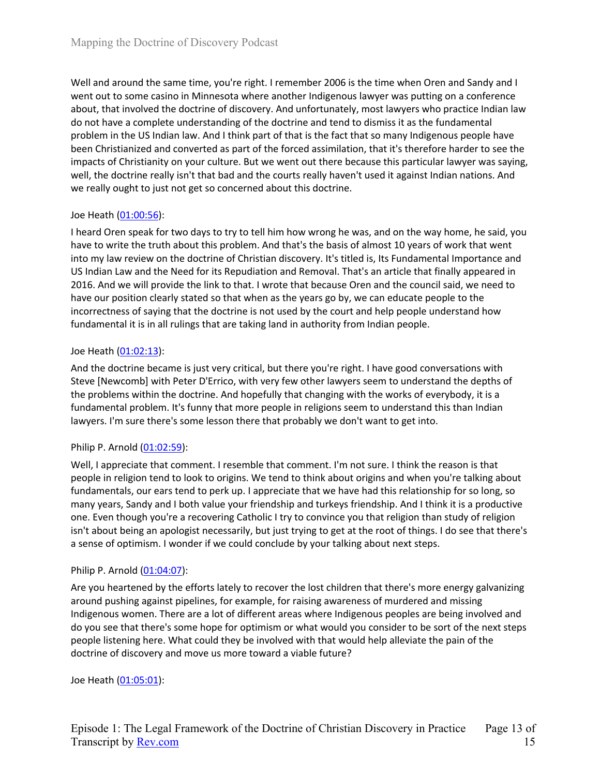Well and around the same time, you're right. I remember 2006 is the time when Oren and Sandy and I went out to some casino in Minnesota where another Indigenous lawyer was putting on a conference about, that involved the doctrine of discovery. And unfortunately, most lawyers who practice Indian law do not have a complete understanding of the doctrine and tend to dismiss it as the fundamental problem in the US Indian law. And I think part of that is the fact that so many Indigenous people have been Christianized and converted as part of the forced assimilation, that it's therefore harder to see the impacts of Christianity on your culture. But we went out there because this particular lawyer was saying, well, the doctrine really isn't that bad and the courts really haven't used it against Indian nations. And we really ought to just not get so concerned about this doctrine.

### Joe Heath (01:00:56):

I heard Oren speak for two days to try to tell him how wrong he was, and on the way home, he said, you have to write the truth about this problem. And that's the basis of almost 10 years of work that went into my law review on the doctrine of Christian discovery. It's titled is, Its Fundamental Importance and US Indian Law and the Need for its Repudiation and Removal. That's an article that finally appeared in 2016. And we will provide the link to that. I wrote that because Oren and the council said, we need to have our position clearly stated so that when as the years go by, we can educate people to the incorrectness of saying that the doctrine is not used by the court and help people understand how fundamental it is in all rulings that are taking land in authority from Indian people.

### Joe Heath (01:02:13):

And the doctrine became is just very critical, but there you're right. I have good conversations with Steve [Newcomb] with Peter D'Errico, with very few other lawyers seem to understand the depths of the problems within the doctrine. And hopefully that changing with the works of everybody, it is a fundamental problem. It's funny that more people in religions seem to understand this than Indian lawyers. I'm sure there's some lesson there that probably we don't want to get into.

## Philip P. Arnold (01:02:59):

Well, I appreciate that comment. I resemble that comment. I'm not sure. I think the reason is that people in religion tend to look to origins. We tend to think about origins and when you're talking about fundamentals, our ears tend to perk up. I appreciate that we have had this relationship for so long, so many years, Sandy and I both value your friendship and turkeys friendship. And I think it is a productive one. Even though you're a recovering Catholic I try to convince you that religion than study of religion isn't about being an apologist necessarily, but just trying to get at the root of things. I do see that there's a sense of optimism. I wonder if we could conclude by your talking about next steps.

## Philip P. Arnold (01:04:07):

Are you heartened by the efforts lately to recover the lost children that there's more energy galvanizing around pushing against pipelines, for example, for raising awareness of murdered and missing Indigenous women. There are a lot of different areas where Indigenous peoples are being involved and do you see that there's some hope for optimism or what would you consider to be sort of the next steps people listening here. What could they be involved with that would help alleviate the pain of the doctrine of discovery and move us more toward a viable future?

### Joe Heath (01:05:01):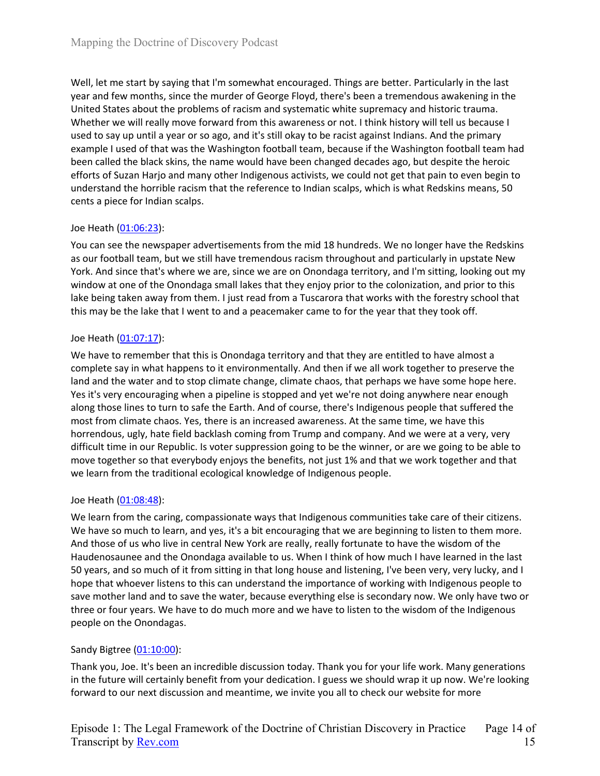Well, let me start by saying that I'm somewhat encouraged. Things are better. Particularly in the last year and few months, since the murder of George Floyd, there's been a tremendous awakening in the United States about the problems of racism and systematic white supremacy and historic trauma. Whether we will really move forward from this awareness or not. I think history will tell us because I used to say up until a year or so ago, and it's still okay to be racist against Indians. And the primary example I used of that was the Washington football team, because if the Washington football team had been called the black skins, the name would have been changed decades ago, but despite the heroic efforts of Suzan Harjo and many other Indigenous activists, we could not get that pain to even begin to understand the horrible racism that the reference to Indian scalps, which is what Redskins means, 50 cents a piece for Indian scalps.

## Joe Heath (01:06:23):

You can see the newspaper advertisements from the mid 18 hundreds. We no longer have the Redskins as our football team, but we still have tremendous racism throughout and particularly in upstate New York. And since that's where we are, since we are on Onondaga territory, and I'm sitting, looking out my window at one of the Onondaga small lakes that they enjoy prior to the colonization, and prior to this lake being taken away from them. I just read from a Tuscarora that works with the forestry school that this may be the lake that I went to and a peacemaker came to for the year that they took off.

### Joe Heath (01:07:17):

We have to remember that this is Onondaga territory and that they are entitled to have almost a complete say in what happens to it environmentally. And then if we all work together to preserve the land and the water and to stop climate change, climate chaos, that perhaps we have some hope here. Yes it's very encouraging when a pipeline is stopped and yet we're not doing anywhere near enough along those lines to turn to safe the Earth. And of course, there's Indigenous people that suffered the most from climate chaos. Yes, there is an increased awareness. At the same time, we have this horrendous, ugly, hate field backlash coming from Trump and company. And we were at a very, very difficult time in our Republic. Is voter suppression going to be the winner, or are we going to be able to move together so that everybody enjoys the benefits, not just 1% and that we work together and that we learn from the traditional ecological knowledge of Indigenous people.

### Joe Heath (01:08:48):

We learn from the caring, compassionate ways that Indigenous communities take care of their citizens. We have so much to learn, and yes, it's a bit encouraging that we are beginning to listen to them more. And those of us who live in central New York are really, really fortunate to have the wisdom of the Haudenosaunee and the Onondaga available to us. When I think of how much I have learned in the last 50 years, and so much of it from sitting in that long house and listening, I've been very, very lucky, and I hope that whoever listens to this can understand the importance of working with Indigenous people to save mother land and to save the water, because everything else is secondary now. We only have two or three or four years. We have to do much more and we have to listen to the wisdom of the Indigenous people on the Onondagas.

## Sandy Bigtree (01:10:00):

Thank you, Joe. It's been an incredible discussion today. Thank you for your life work. Many generations in the future will certainly benefit from your dedication. I guess we should wrap it up now. We're looking forward to our next discussion and meantime, we invite you all to check our website for more